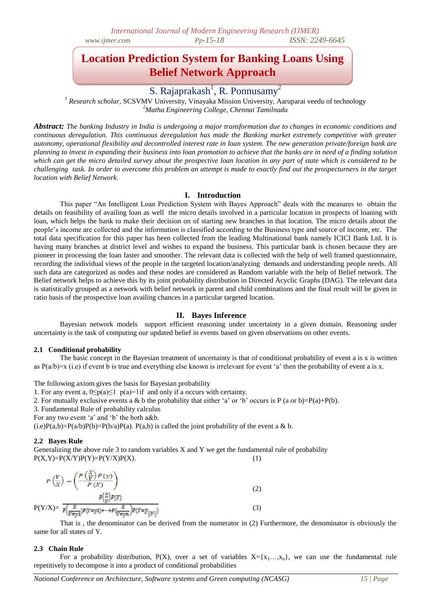# **Location Prediction System for Banking Loans Using Belief Network Approach**

S. Rajaprakash<sup>1</sup>, R. Ponnusamy<sup>2</sup>

*<sup>1</sup> Research scholar,* SCSVMV University, Vinayaka Mission University, Aaruparai veedu of technology *<sup>2</sup>Matha Engineering College, Chennai Tamilnadu*

*Abstract: The banking Industry in India is undergoing a major transformation due to changes in economic conditions and continuous deregulation. This continuous deregulation has made the Banking market extremely competitive with greater autonomy, operational flexibility and decontrolled interest rate in loan system. The new generation private/foreign bank are planning to invest in expanding their business into loan promotion to achieve that the banks are in need of a finding solution which can get the micro detailed survey about the prospective loan location in any part of state which is considered to be challenging task. In order to overcome this problem an attempt is made to exactly find out the prospecturners in the target location with Belief Network.*

### **I. Introduction**

This paper "An Intelligent Loan Prediction System with Bayes Approach" deals with the measures to obtain the details on feasibility of availing loan as well the micro details involved in a particular location in prospects of loaning with loan, which helps the bank to make their decision on of starting new branches in that location. The micro details about the people"s income are collected and the information is classified according to the Business type and source of income, etc. The total data specification for this paper has been collected from the leading Multinational bank namely ICICI Bank Ltd. It is having many branches at district level and wishes to expand the business. This particular bank is chosen because they are pioneer in processing the loan faster and smoother. The relevant data is collected with the help of well framed questionnaire, recording the individual views of the people in the targeted location/analyzing demands and understanding people needs. All such data are categorized as nodes and these nodes are considered as Random variable with the help of Belief network. The Belief network helps to achieve this by its joint probability distribution in Directed Acyclic Graphs (DAG). The relevant data is statistically grouped as a network with belief network in parent and child combinations and the final result will be given in ratio basis of the prospective loan availing chances in a particular targeted location.

### **II. Bayes Inference**

Bayesian network models support efficient reasoning under uncertainty in a given domain. Reasoning under uncertainty is the task of computing our updated belief in events based on given observations on other events.

#### **2.1 Conditional probability**

The basic concept in the Bayesian treatment of uncertainty is that of conditional probability of event a is x is written as  $P(a/b)=x$  (i.e) if event b is true and everything else known is irrelevant for event 'a' then the probability of event a is x.

The following axiom gives the basis for Bayesian probability

1. For any event a,  $0 \le p(a) \le 1$   $p(a)=1$  if and only if a occurs with certainty.

2. For mutually exclusive events a & b the probability that either 'a' or 'b' occurs is P (a or b)=P(a)+P(b).

3. Fundamental Rule of probability calculus

For any two event 'a' and 'b' the both a&b.

 $(i.e)P(a,b)=P(a/b)P(b)=P(b/a)P(a)P(a)$ . P(a,b) is called the joint probability of the event a & b.

### **2.2 Bayes Rule**

Generalizing the above rule 3 to random variables X and Y we get the fundamental rule of probability  $P(X,Y)=P(X/Y)P(Y)=P(Y/X)P(X).$  (1)

$$
P\left(\frac{Y}{X}\right) = \left(\frac{P\left(\frac{X}{Y}\right)P(y)}{P(X)}\right)
$$
  
\n
$$
P\left(\frac{X}{Y}\right)P(Y)
$$
  
\n
$$
P(Y/X) = \frac{\sum_{r=0}^{X} p(r=y_1) + \dots + p\left(\frac{X}{Y-y_N}\right)P(Y=y_{\parallel}|Y|\right)}{P\left(\frac{X}{Y-y_1}\right)P(Y=y_1) + \dots + P\left(\frac{X}{Y-y_N}\right)P(Y=y_{\parallel}|Y|\right)}
$$
\n(3)

That is , the denominator can be derived from the numerator in (2) Furthermore, the denominator is obviously the same for all states of Y.

#### **2.3 Chain Rule**

For a probability distribution, P(X), over a set of variables  $X = \{x_1, \ldots, x_n\}$ , we can use the fundamental rule repetitively to decompose it into a product of conditional probabilities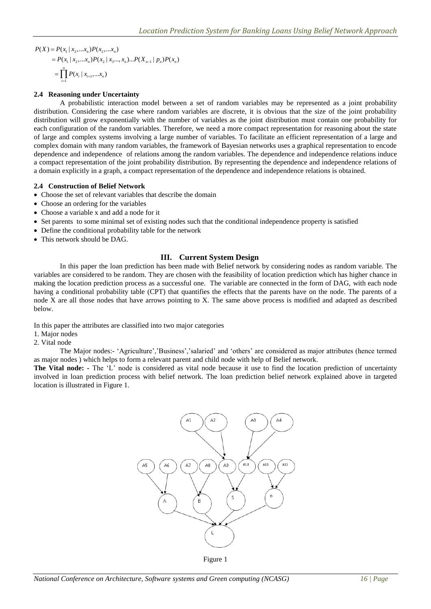$P(X) = P(x_1 | x_2,...x_n)P(x_2,...x_n)$  $P(X_1 | x_2,...x_n)P(x_2,...x_n)$ <br>=  $P(x_1 | x_2,...x_n)P(x_2 | x_3...,x_n)...P(X_{n-1} | p_n)P(x_n)$  $(x_2,...x_n)P(x_2 |$ <br>( $x_i | x_{i+1},...x_n$ ) 1  $P(x_1 | x_2,...x_n)P(x_2)$ <br>=  $\prod_{i=1}^n P(x_i | x_{i+1},...x_n)$ *i*  $=$ 

### **2.4 Reasoning under Uncertainty**

A probabilistic interaction model between a set of random variables may be represented as a joint probability distribution. Considering the case where random variables are discrete, it is obvious that the size of the joint probability distribution will grow exponentially with the number of variables as the joint distribution must contain one probability for each configuration of the random variables. Therefore, we need a more compact representation for reasoning about the state of large and complex systems involving a large number of variables. To facilitate an efficient representation of a large and complex domain with many random variables, the framework of Bayesian networks uses a graphical representation to encode dependence and independence of relations among the random variables. The dependence and independence relations induce a compact representation of the joint probability distribution. By representing the dependence and independence relations of a domain explicitly in a graph, a compact representation of the dependence and independence relations is obtained.

### **2.4 Construction of Belief Network**

- Choose the set of relevant variables that describe the domain
- Choose an ordering for the variables
- Choose a variable x and add a node for it
- Set parents to some minimal set of existing nodes such that the conditional independence property is satisfied
- Define the conditional probability table for the network
- This network should be DAG.

### **III. Current System Design**

In this paper the loan prediction has been made with Belief network by considering nodes as random variable. The variables are considered to be random. They are chosen with the feasibility of location prediction which has higher chance in making the location prediction process as a successful one. The variable are connected in the form of DAG, with each node having a conditional probability table (CPT) that quantifies the effects that the parents have on the node. The parents of a node X are all those nodes that have arrows pointing to X. The same above process is modified and adapted as described below.

In this paper the attributes are classified into two major categories

- 1. Major nodes
- 2. Vital node

The Major nodes:- "Agriculture","Business","salaried" and "others" are considered as major attributes (hence termed as major nodes ) which helps to form a relevant parent and child node with help of Belief network.

**The Vital node: -** The "L" node is considered as vital node because it use to find the location prediction of uncertainty involved in loan prediction process with belief network. The loan prediction belief network explained above in targeted location is illustrated in Figure 1.

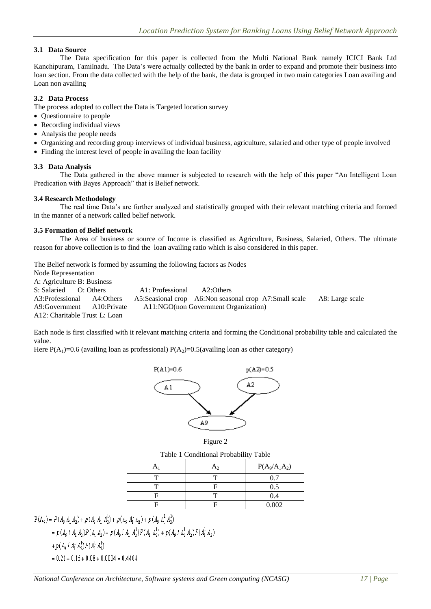## **3.1 Data Source**

The Data specification for this paper is collected from the Multi National Bank namely ICICI Bank Ltd Kanchipuram, Tamilnadu. The Data"s were actually collected by the bank in order to expand and promote their business into loan section. From the data collected with the help of the bank, the data is grouped in two main categories Loan availing and Loan non availing

### **3.2 Data Process**

The process adopted to collect the Data is Targeted location survey

- Questionnaire to people
- Recording individual views
- Analysis the people needs
- Organizing and recording group interviews of individual business, agriculture, salaried and other type of people involved
- Finding the interest level of people in availing the loan facility

### **3.3 Data Analysis**

The Data gathered in the above manner is subjected to research with the help of this paper "An Intelligent Loan Predication with Bayes Approach" that is Belief network.

### **3.4 Research Methodology**

The real time Data"s are further analyzed and statistically grouped with their relevant matching criteria and formed in the manner of a network called belief network.

#### **3.5 Formation of Belief network**

The Area of business or source of Income is classified as Agriculture, Business, Salaried, Others. The ultimate reason for above collection is to find the loan availing ratio which is also considered in this paper.

The Belief network is formed by assuming the following factors as Nodes Node Representation A: Agriculture B: Business S: Salaried O: Others A1: Professional A2: Others A3:Professional A4:Others A5:Seasional crop A6:Non seasonal crop A7:Small scale A8: Large scale<br>A9:Government A10:Private A11:NGO(non Government Organization) A10:Private A11:NGO(non Government Organization) A12: Charitable Trust L: Loan

Each node is first classified with it relevant matching criteria and forming the Conditional probability table and calculated the value.

Here  $P(A_1)=0.6$  (availing loan as professional)  $P(A_2)=0.5$ (availing loan as other category)





Table 1 Conditional Probability Table

| A | A٥ | $P(A_9/A_1A_2)$ |
|---|----|-----------------|
|   |    |                 |
|   |    | 0.5             |
|   |    | 0.4             |
|   |    | 0.002           |

 $\mathrm{P}(\mathbb{A}_9)=P(\mathbb{A}_9\ \mathbb{A}_1\ \mathbb{A}_2)+p(\mathbb{A}_9\ \mathbb{A}_1\ \mathbb{A}_2^1)+p(\mathbb{A}_9\ \mathbb{A}_1^1\ \mathbb{A}_2)+p(\mathbb{A}_9\ \mathbb{A}_1^1\ \mathbb{A}_2^1)$ 

$$
= p(A_9 / A_1 A_2) P(A_1 A_2) + p(A_9 / A_1 A_2^1) P(A_1 A_2^1) + p(A_9 / A_1^1 A_2) P(A_1^1 A_2)
$$

+  $p(A_9 \nmid A_1^1 A_2^1) P(A_1^1 A_2^1)$ 

 $= 0.21 + 0.15 + 0.08 + 0.0004 = 0.4404$